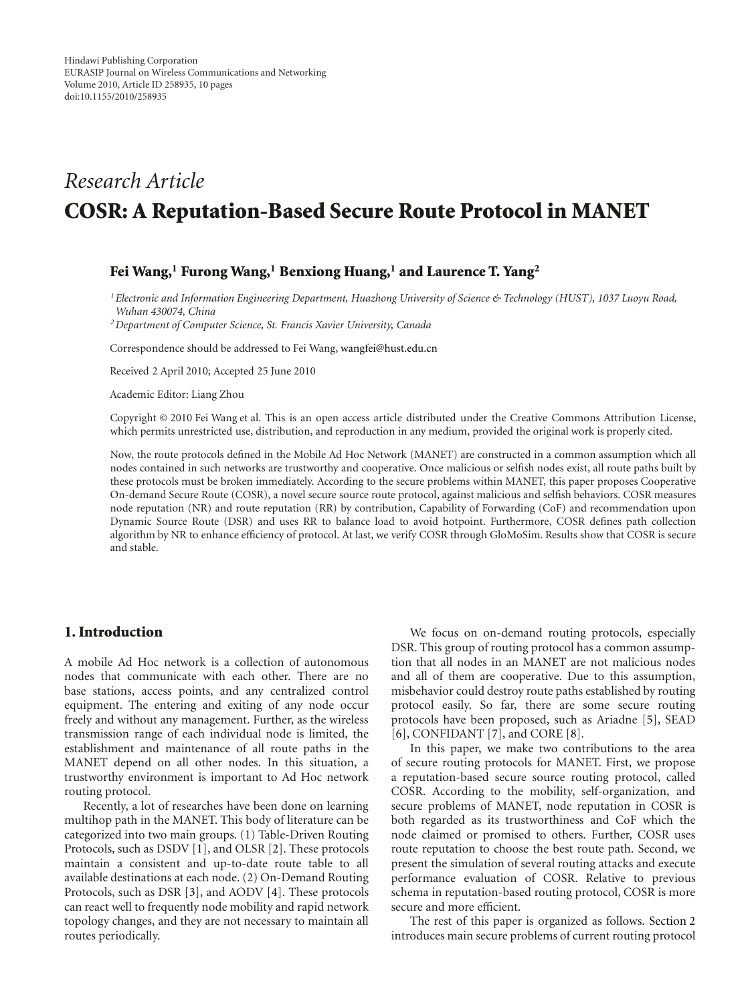# *Research Article* **COSR: A Reputation-Based Secure Route Protocol in MANET**

# **Fei Wang,1 Furong Wang,1 Benxiong Huang,1 and Laurence T. Yang2**

*1Electronic and Information Engineering Department, Huazhong University of Science & Technology (HUST), 1037 Luoyu Road, Wuhan 430074, China*

*2Department of Computer Science, St. Francis Xavier University, Canada*

Correspondence should be addressed to Fei Wang, wangfei@hust.edu.cn

Received 2 April 2010; Accepted 25 June 2010

Academic Editor: Liang Zhou

Copyright © 2010 Fei Wang et al. This is an open access article distributed under the Creative Commons Attribution License, which permits unrestricted use, distribution, and reproduction in any medium, provided the original work is properly cited.

Now, the route protocols defined in the Mobile Ad Hoc Network (MANET) are constructed in a common assumption which all nodes contained in such networks are trustworthy and cooperative. Once malicious or selfish nodes exist, all route paths built by these protocols must be broken immediately. According to the secure problems within MANET, this paper proposes Cooperative On-demand Secure Route (COSR), a novel secure source route protocol, against malicious and selfish behaviors. COSR measures node reputation (NR) and route reputation (RR) by contribution, Capability of Forwarding (CoF) and recommendation upon Dynamic Source Route (DSR) and uses RR to balance load to avoid hotpoint. Furthermore, COSR defines path collection algorithm by NR to enhance efficiency of protocol. At last, we verify COSR through GloMoSim. Results show that COSR is secure and stable.

## **1. Introduction**

A mobile Ad Hoc network is a collection of autonomous nodes that communicate with each other. There are no base stations, access points, and any centralized control equipment. The entering and exiting of any node occur freely and without any management. Further, as the wireless transmission range of each individual node is limited, the establishment and maintenance of all route paths in the MANET depend on all other nodes. In this situation, a trustworthy environment is important to Ad Hoc network routing protocol.

Recently, a lot of researches have been done on learning multihop path in the MANET. This body of literature can be categorized into two main groups. (1) Table-Driven Routing Protocols, such as DSDV [1], and OLSR [2]. These protocols maintain a consistent and up-to-date route table to all available destinations at each node. (2) On-Demand Routing Protocols, such as DSR [3], and AODV [4]. These protocols can react well to frequently node mobility and rapid network topology changes, and they are not necessary to maintain all routes periodically.

We focus on on-demand routing protocols, especially DSR. This group of routing protocol has a common assumption that all nodes in an MANET are not malicious nodes and all of them are cooperative. Due to this assumption, misbehavior could destroy route paths established by routing protocol easily. So far, there are some secure routing protocols have been proposed, such as Ariadne [5], SEAD [6], CONFIDANT [7], and CORE [8].

In this paper, we make two contributions to the area of secure routing protocols for MANET. First, we propose a reputation-based secure source routing protocol, called COSR. According to the mobility, self-organization, and secure problems of MANET, node reputation in COSR is both regarded as its trustworthiness and CoF which the node claimed or promised to others. Further, COSR uses route reputation to choose the best route path. Second, we present the simulation of several routing attacks and execute performance evaluation of COSR. Relative to previous schema in reputation-based routing protocol, COSR is more secure and more efficient.

The rest of this paper is organized as follows. Section 2 introduces main secure problems of current routing protocol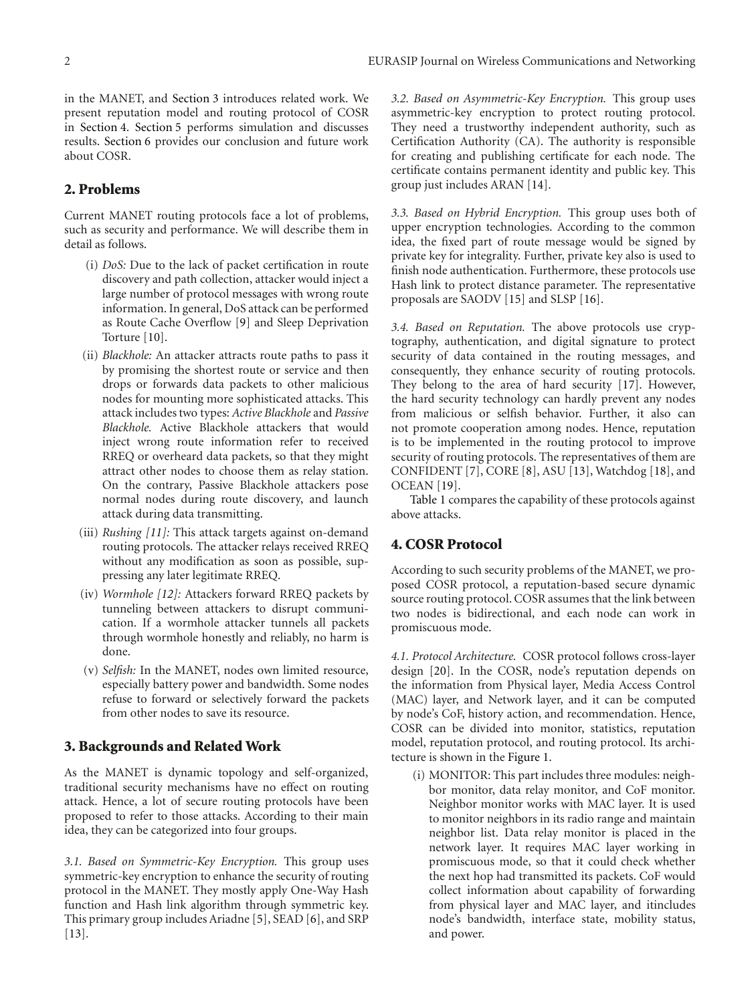in the MANET, and Section 3 introduces related work. We present reputation model and routing protocol of COSR in Section 4. Section 5 performs simulation and discusses results. Section 6 provides our conclusion and future work about COSR.

## **2. Problems**

Current MANET routing protocols face a lot of problems, such as security and performance. We will describe them in detail as follows.

- (i) *DoS:* Due to the lack of packet certification in route discovery and path collection, attacker would inject a large number of protocol messages with wrong route information. In general, DoS attack can be performed as Route Cache Overflow [9] and Sleep Deprivation Torture [10].
- (ii) *Blackhole:* An attacker attracts route paths to pass it by promising the shortest route or service and then drops or forwards data packets to other malicious nodes for mounting more sophisticated attacks. This attack includes two types: *Active Blackhole* and *Passive Blackhole.* Active Blackhole attackers that would inject wrong route information refer to received RREQ or overheard data packets, so that they might attract other nodes to choose them as relay station. On the contrary, Passive Blackhole attackers pose normal nodes during route discovery, and launch attack during data transmitting.
- (iii) *Rushing [11]:* This attack targets against on-demand routing protocols. The attacker relays received RREQ without any modification as soon as possible, suppressing any later legitimate RREQ.
- (iv) *Wormhole [12]:* Attackers forward RREQ packets by tunneling between attackers to disrupt communication. If a wormhole attacker tunnels all packets through wormhole honestly and reliably, no harm is done.
- (v) *Selfish:* In the MANET, nodes own limited resource, especially battery power and bandwidth. Some nodes refuse to forward or selectively forward the packets from other nodes to save its resource.

## **3. Backgrounds and Related Work**

As the MANET is dynamic topology and self-organized, traditional security mechanisms have no effect on routing attack. Hence, a lot of secure routing protocols have been proposed to refer to those attacks. According to their main idea, they can be categorized into four groups.

*3.1. Based on Symmetric-Key Encryption.* This group uses symmetric-key encryption to enhance the security of routing protocol in the MANET. They mostly apply One-Way Hash function and Hash link algorithm through symmetric key. This primary group includes Ariadne [5], SEAD [6], and SRP [13].

*3.2. Based on Asymmetric-Key Encryption.* This group uses asymmetric-key encryption to protect routing protocol. They need a trustworthy independent authority, such as Certification Authority (CA). The authority is responsible for creating and publishing certificate for each node. The certificate contains permanent identity and public key. This group just includes ARAN [14].

*3.3. Based on Hybrid Encryption.* This group uses both of upper encryption technologies. According to the common idea, the fixed part of route message would be signed by private key for integrality. Further, private key also is used to finish node authentication. Furthermore, these protocols use Hash link to protect distance parameter. The representative proposals are SAODV [15] and SLSP [16].

*3.4. Based on Reputation.* The above protocols use cryptography, authentication, and digital signature to protect security of data contained in the routing messages, and consequently, they enhance security of routing protocols. They belong to the area of hard security [17]. However, the hard security technology can hardly prevent any nodes from malicious or selfish behavior. Further, it also can not promote cooperation among nodes. Hence, reputation is to be implemented in the routing protocol to improve security of routing protocols. The representatives of them are CONFIDENT [7], CORE [8], ASU [13], Watchdog [18], and OCEAN [19].

Table 1 compares the capability of these protocols against above attacks.

# **4. COSR Protocol**

According to such security problems of the MANET, we proposed COSR protocol, a reputation-based secure dynamic source routing protocol. COSR assumes that the link between two nodes is bidirectional, and each node can work in promiscuous mode.

*4.1. Protocol Architecture.* COSR protocol follows cross-layer design [20]. In the COSR, node's reputation depends on the information from Physical layer, Media Access Control (MAC) layer, and Network layer, and it can be computed by node's CoF, history action, and recommendation. Hence, COSR can be divided into monitor, statistics, reputation model, reputation protocol, and routing protocol. Its architecture is shown in the Figure 1.

(i) MONITOR: This part includes three modules: neighbor monitor, data relay monitor, and CoF monitor. Neighbor monitor works with MAC layer. It is used to monitor neighbors in its radio range and maintain neighbor list. Data relay monitor is placed in the network layer. It requires MAC layer working in promiscuous mode, so that it could check whether the next hop had transmitted its packets. CoF would collect information about capability of forwarding from physical layer and MAC layer, and itincludes node's bandwidth, interface state, mobility status, and power.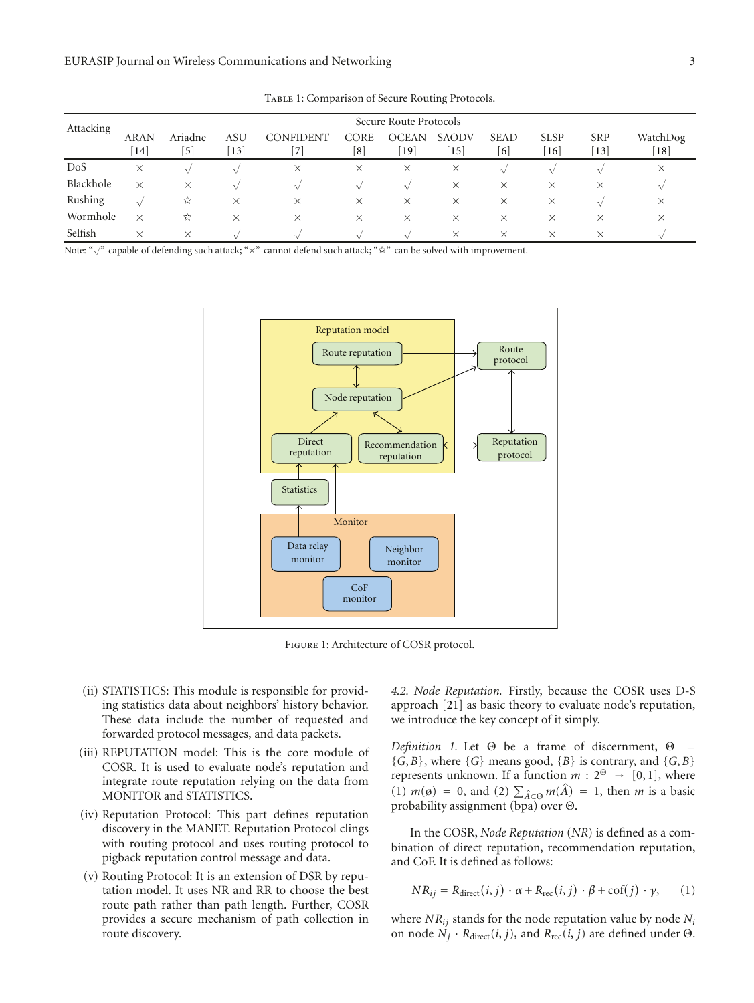| Attacking | Secure Route Protocols |                  |                                  |                              |                  |                                    |                    |                    |                     |                                  |                  |
|-----------|------------------------|------------------|----------------------------------|------------------------------|------------------|------------------------------------|--------------------|--------------------|---------------------|----------------------------------|------------------|
|           | <b>ARAN</b><br>[14]    | Ariadne<br>$[5]$ | <b>ASU</b><br>$\lceil 13 \rceil$ | <b>CONFIDENT</b><br>$\prime$ | CORE<br>$^{[8]}$ | <b>OCEAN</b><br>$\lceil 19 \rceil$ | <b>SAODV</b><br>15 | <b>SEAD</b><br>[6] | <b>SLSP</b><br>[16] | <b>SRP</b><br>$\lceil 13 \rceil$ | WatchDog<br>[18] |
| DoS       | $\times$               |                  |                                  | $\times$                     | $\times$         | $\times$                           | $\times$           |                    |                     |                                  | $\times$         |
| Blackhole | $\times$               | $\times$         |                                  |                              |                  |                                    | $\times$           | $\times$           | $\times$            | $\times$                         |                  |
| Rushing   |                        | 艾                | $\times$                         | $\times$                     | $\times$         | $\times$                           | $\times$           | X                  | $\times$            |                                  | $\times$         |
| Wormhole  | $\times$               | 艾                | $\times$                         | $\times$                     | $\times$         | $\times$                           | $\times$           | X                  | $\times$            | ×                                | $\times$         |
| Selfish   | $\times$               | $\times$         |                                  |                              |                  |                                    | $\times$           | ×                  | $\times$            | ×                                |                  |

Table 1: Comparison of Secure Routing Protocols.

Note: "√"-capable of defending such attack; "×"-cannot defend such attack; "☆"-can be solved with improvement.



Figure 1: Architecture of COSR protocol.

- (ii) STATISTICS: This module is responsible for providing statistics data about neighbors' history behavior. These data include the number of requested and forwarded protocol messages, and data packets.
- (iii) REPUTATION model: This is the core module of COSR. It is used to evaluate node's reputation and integrate route reputation relying on the data from MONITOR and STATISTICS.
- (iv) Reputation Protocol: This part defines reputation discovery in the MANET. Reputation Protocol clings with routing protocol and uses routing protocol to pigback reputation control message and data.
- (v) Routing Protocol: It is an extension of DSR by reputation model. It uses NR and RR to choose the best route path rather than path length. Further, COSR provides a secure mechanism of path collection in route discovery.

*4.2. Node Reputation.* Firstly, because the COSR uses D-S approach [21] as basic theory to evaluate node's reputation, we introduce the key concept of it simply.

*Definition 1.* Let  $\Theta$  be a frame of discernment,  $\Theta$  =  ${G, B}$ , where  ${G}$  means good,  ${B}$  is contrary, and  ${G, B}$ represents unknown. If a function *<sup>m</sup>* : 2<sup>Θ</sup> <sup>→</sup> [0, 1], where (1)  $m(\emptyset) = 0$ , and (2)  $\sum_{\hat{A} \subset \emptyset} m(\hat{A}) = 1$ , then *m* is a basic probability assignment (bpa) over Θ.

In the COSR, *Node Reputation* (*NR*) is defined as a combination of direct reputation, recommendation reputation, and CoF. It is defined as follows:

$$
NR_{ij} = R_{\text{direct}}(i, j) \cdot \alpha + R_{\text{rec}}(i, j) \cdot \beta + \text{cof}(j) \cdot \gamma, \qquad (1)
$$

where *NRij* stands for the node reputation value by node *Ni* on node  $N_i \cdot R_{\text{direct}}(i, j)$ , and  $R_{\text{rec}}(i, j)$  are defined under  $\Theta$ .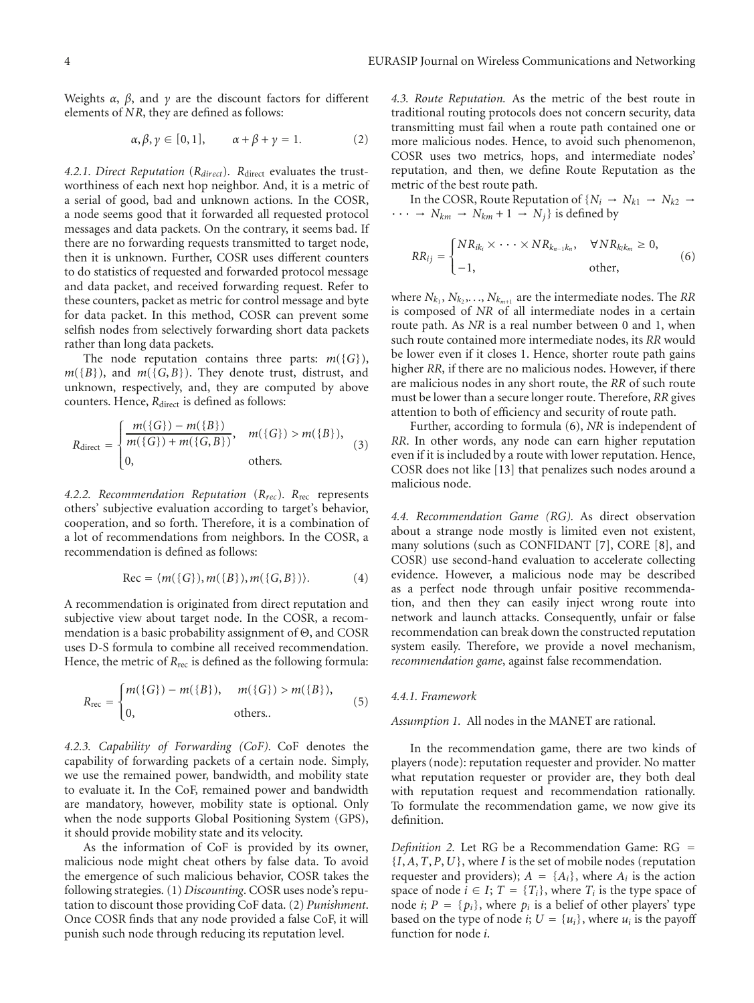Weights  $\alpha$ ,  $\beta$ , and  $\gamma$  are the discount factors for different elements of *NR*, they are defined as follows:

$$
\alpha,\beta,\gamma\in[0,1],\qquad \alpha+\beta+\gamma=1. \qquad \qquad (2)
$$

*4.2.1. Direct Reputation* (*Rdirect*)*. R*direct evaluates the trustworthiness of each next hop neighbor. And, it is a metric of a serial of good, bad and unknown actions. In the COSR, a node seems good that it forwarded all requested protocol messages and data packets. On the contrary, it seems bad. If there are no forwarding requests transmitted to target node, then it is unknown. Further, COSR uses different counters to do statistics of requested and forwarded protocol message and data packet, and received forwarding request. Refer to these counters, packet as metric for control message and byte for data packet. In this method, COSR can prevent some selfish nodes from selectively forwarding short data packets rather than long data packets.

The node reputation contains three parts:  $m({G}),$  $m({B})$ , and  $m({G},B)$ ). They denote trust, distrust, and unknown, respectively, and, they are computed by above counters. Hence,  $R_{\text{direct}}$  is defined as follows:

$$
R_{\text{direct}} = \begin{cases} \frac{m(\{G\}) - m(\{B\})}{m(\{G\}) + m(\{G, B\})}, & m(\{G\}) > m(\{B\}), \\ 0, & \text{others.} \end{cases} \tag{3}
$$

*4.2.2. Recommendation Reputation* (*Rrec*)*. R*rec represents others' subjective evaluation according to target's behavior, cooperation, and so forth. Therefore, it is a combination of a lot of recommendations from neighbors. In the COSR, a recommendation is defined as follows:

$$
Rec = \langle m(\lbrace G \rbrace), m(\lbrace B \rbrace), m(\lbrace G, B \rbrace) \rangle.
$$
 (4)

A recommendation is originated from direct reputation and subjective view about target node. In the COSR, a recommendation is a basic probability assignment of Θ, and COSR uses D-S formula to combine all received recommendation. Hence, the metric of  $R_{\text{rec}}$  is defined as the following formula:

$$
R_{\rm rec} = \begin{cases} m(\{G\}) - m(\{B\}), & m(\{G\}) > m(\{B\}), \\ 0, & \text{others...} \end{cases}
$$
 (5)

*4.2.3. Capability of Forwarding (CoF).* CoF denotes the capability of forwarding packets of a certain node. Simply, we use the remained power, bandwidth, and mobility state to evaluate it. In the CoF, remained power and bandwidth are mandatory, however, mobility state is optional. Only when the node supports Global Positioning System (GPS), it should provide mobility state and its velocity.

As the information of CoF is provided by its owner, malicious node might cheat others by false data. To avoid the emergence of such malicious behavior, COSR takes the following strategies. (1) *Discounting*. COSR uses node's reputation to discount those providing CoF data. (2) *Punishment*. Once COSR finds that any node provided a false CoF, it will punish such node through reducing its reputation level.

*4.3. Route Reputation.* As the metric of the best route in traditional routing protocols does not concern security, data transmitting must fail when a route path contained one or more malicious nodes. Hence, to avoid such phenomenon, COSR uses two metrics, hops, and intermediate nodes' reputation, and then, we define Route Reputation as the metric of the best route path.

In the COSR, Route Reputation of  $\{N_i \rightarrow N_{k1} \rightarrow N_{k2} \rightarrow N_{k1} \rightarrow N_{k1} \rightarrow N_{k2} \}$  $\cdots \rightarrow N_{km} \rightarrow N_{km} + 1 \rightarrow N_j$  is defined by

$$
RR_{ij} = \begin{cases} NR_{ik_i} \times \cdots \times NR_{k_{n-1}k_n}, & \forall NR_{k_lk_m} \ge 0, \\ -1, & \text{other,} \end{cases}
$$
 (6)

where  $N_{k_1}, N_{k_2}, \ldots, N_{k_{m+1}}$  are the intermediate nodes. The *RR* is composed of *NR* of all intermediate nodes in a certain route path. As *NR* is a real number between 0 and 1, when such route contained more intermediate nodes, its *RR* would be lower even if it closes 1. Hence, shorter route path gains higher *RR*, if there are no malicious nodes. However, if there are malicious nodes in any short route, the *RR* of such route must be lower than a secure longer route. Therefore, *RR* gives attention to both of efficiency and security of route path.

Further, according to formula (6), *NR* is independent of *RR*. In other words, any node can earn higher reputation even if it is included by a route with lower reputation. Hence, COSR does not like [13] that penalizes such nodes around a malicious node.

*4.4. Recommendation Game (RG).* As direct observation about a strange node mostly is limited even not existent, many solutions (such as CONFIDANT [7], CORE [8], and COSR) use second-hand evaluation to accelerate collecting evidence. However, a malicious node may be described as a perfect node through unfair positive recommendation, and then they can easily inject wrong route into network and launch attacks. Consequently, unfair or false recommendation can break down the constructed reputation system easily. Therefore, we provide a novel mechanism, *recommendation game*, against false recommendation.

#### *4.4.1. Framework*

*Assumption 1.* All nodes in the MANET are rational.

In the recommendation game, there are two kinds of players (node): reputation requester and provider. No matter what reputation requester or provider are, they both deal with reputation request and recommendation rationally. To formulate the recommendation game, we now give its definition.

*Definition 2.* Let RG be a Recommendation Game: RG = {*I*,*A*,*T*, *<sup>P</sup>*, *<sup>U</sup>*}, where *<sup>I</sup>* is the set of mobile nodes (reputation requester and providers);  $A = \{A_i\}$ , where  $A_i$  is the action space of node  $i \in I$ ;  $T = \{T_i\}$ , where  $T_i$  is the type space of node *i*;  $P = \{p_i\}$ , where  $p_i$  is a belief of other players' type based on the type of node *i*;  $U = \{u_i\}$ , where  $u_i$  is the payoff function for node *i*.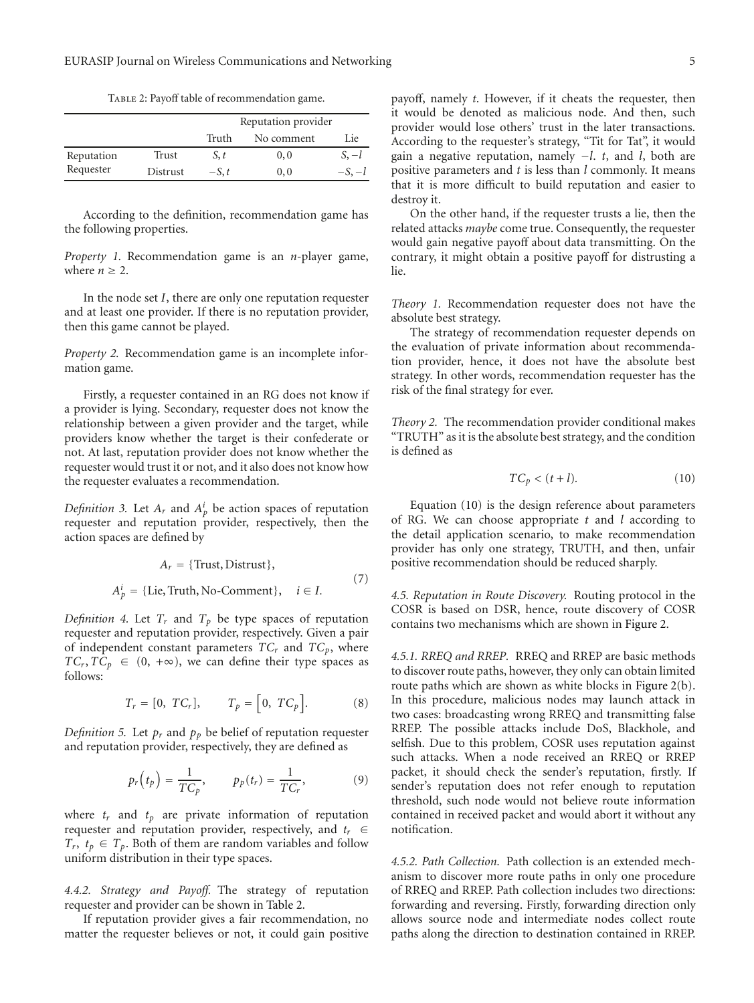TABLE 2: Payoff table of recommendation game.

|            |          | Reputation provider |            |          |  |  |
|------------|----------|---------------------|------------|----------|--|--|
|            |          | Truth               | No comment | Lie      |  |  |
| Reputation | Trust    | S, t                | 0, 0       | $S, -l$  |  |  |
| Requester  | Distrust | $-S, t$             | 0, 0       | $-S, -l$ |  |  |

According to the definition, recommendation game has the following properties.

*Property 1.* Recommendation game is an *n*-player game, where  $n \geq 2$ .

In the node set *I*, there are only one reputation requester and at least one provider. If there is no reputation provider, then this game cannot be played.

*Property 2.* Recommendation game is an incomplete information game.

Firstly, a requester contained in an RG does not know if a provider is lying. Secondary, requester does not know the relationship between a given provider and the target, while providers know whether the target is their confederate or not. At last, reputation provider does not know whether the requester would trust it or not, and it also does not know how the requester evaluates a recommendation.

*Definition 3.* Let  $A_r$  and  $A_p^i$  be action spaces of reputation requester and reputation provider, respectively, then the action spaces are defined by

$$
A_r = \{\text{Trust, Distrust}\},\
$$

$$
A_p^i = \{\text{Lie, Truth, No-Comment}\}, \quad i \in I. \tag{7}
$$

*Definition 4.* Let  $T_r$  and  $T_p$  be type spaces of reputation requester and reputation provider, respectively. Given a pair of independent constant parameters  $TC_r$  and  $TC_p$ , where  $TC_r, TC_p \in (0, +\infty)$ , we can define their type spaces as follows:

$$
T_r = [0, TC_r], \t T_p = [0, TC_p].
$$
 (8)

*Definition 5.* Let  $p_r$  and  $p_p$  be belief of reputation requester and reputation provider, respectively, they are defined as

$$
p_r(t_p) = \frac{1}{TC_p}, \qquad p_p(t_r) = \frac{1}{TC_r}, \tag{9}
$$

where  $t_r$  and  $t_p$  are private information of reputation requester and reputation provider, respectively, and *tr* <sup>∈</sup>  $T_r$ ,  $t_p \in T_p$ . Both of them are random variables and follow uniform distribution in their type spaces.

*4.4.2. Strategy and Payoff.* The strategy of reputation requester and provider can be shown in Table 2.

If reputation provider gives a fair recommendation, no matter the requester believes or not, it could gain positive payoff, namely *t*. However, if it cheats the requester, then it would be denoted as malicious node. And then, such provider would lose others' trust in the later transactions. According to the requester's strategy, "Tit for Tat", it would gain a negative reputation, namely <sup>−</sup>*l*. *<sup>t</sup>*, and *<sup>l</sup>*, both are positive parameters and *t* is less than *l* commonly. It means that it is more difficult to build reputation and easier to destroy it.

On the other hand, if the requester trusts a lie, then the related attacks *maybe* come true. Consequently, the requester would gain negative payoff about data transmitting. On the contrary, it might obtain a positive payoff for distrusting a lie.

*Theory 1.* Recommendation requester does not have the absolute best strategy.

The strategy of recommendation requester depends on the evaluation of private information about recommendation provider, hence, it does not have the absolute best strategy. In other words, recommendation requester has the risk of the final strategy for ever.

*Theory 2.* The recommendation provider conditional makes "TRUTH" as it is the absolute best strategy, and the condition is defined as

$$
TC_p < (t+l). \tag{10}
$$

Equation (10) is the design reference about parameters of RG. We can choose appropriate *t* and *l* according to the detail application scenario, to make recommendation provider has only one strategy, TRUTH, and then, unfair positive recommendation should be reduced sharply.

*4.5. Reputation in Route Discovery.* Routing protocol in the COSR is based on DSR, hence, route discovery of COSR contains two mechanisms which are shown in Figure 2.

*4.5.1. RREQ and RREP.* RREQ and RREP are basic methods to discover route paths, however, they only can obtain limited route paths which are shown as white blocks in Figure 2(b). In this procedure, malicious nodes may launch attack in two cases: broadcasting wrong RREQ and transmitting false RREP. The possible attacks include DoS, Blackhole, and selfish. Due to this problem, COSR uses reputation against such attacks. When a node received an RREQ or RREP packet, it should check the sender's reputation, firstly. If sender's reputation does not refer enough to reputation threshold, such node would not believe route information contained in received packet and would abort it without any notification.

*4.5.2. Path Collection.* Path collection is an extended mechanism to discover more route paths in only one procedure of RREQ and RREP. Path collection includes two directions: forwarding and reversing. Firstly, forwarding direction only allows source node and intermediate nodes collect route paths along the direction to destination contained in RREP.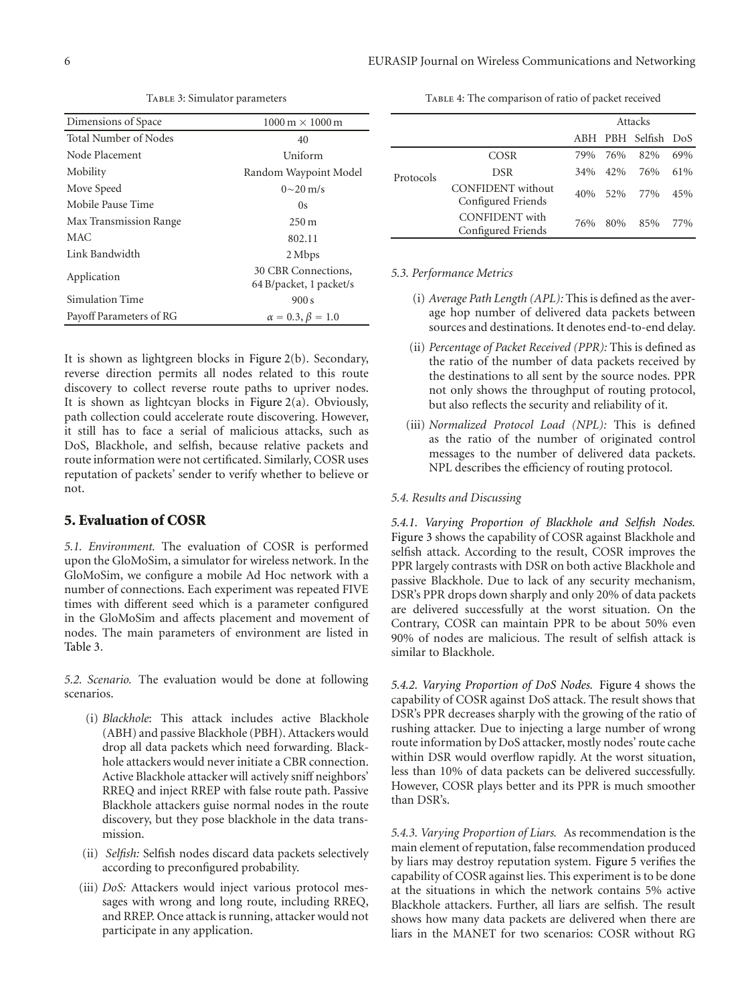TABLE 3: Simulator parameters

| Dimensions of Space     | $1000 \,\mathrm{m} \times 1000 \,\mathrm{m}$   |  |  |  |
|-------------------------|------------------------------------------------|--|--|--|
| Total Number of Nodes   | 40                                             |  |  |  |
| Node Placement          | Uniform                                        |  |  |  |
| Mobility                | Random Waypoint Model                          |  |  |  |
| Move Speed              | $0\sim 20 \text{ m/s}$                         |  |  |  |
| Mobile Pause Time       | 0s                                             |  |  |  |
| Max Transmission Range  | $250 \,\mathrm{m}$                             |  |  |  |
| MAC.                    | 802.11                                         |  |  |  |
| Link Bandwidth          | 2 Mbps                                         |  |  |  |
| Application             | 30 CBR Connections.<br>64 B/packet, 1 packet/s |  |  |  |
| Simulation Time         | 900 s                                          |  |  |  |
| Payoff Parameters of RG | $\alpha = 0.3, \beta = 1.0$                    |  |  |  |

It is shown as lightgreen blocks in Figure 2(b). Secondary, reverse direction permits all nodes related to this route discovery to collect reverse route paths to upriver nodes. It is shown as lightcyan blocks in Figure 2(a). Obviously, path collection could accelerate route discovering. However, it still has to face a serial of malicious attacks, such as DoS, Blackhole, and selfish, because relative packets and route information were not certificated. Similarly, COSR uses reputation of packets' sender to verify whether to believe or not.

## **5. Evaluation of COSR**

*5.1. Environment.* The evaluation of COSR is performed upon the GloMoSim, a simulator for wireless network. In the GloMoSim, we configure a mobile Ad Hoc network with a number of connections. Each experiment was repeated FIVE times with different seed which is a parameter configured in the GloMoSim and affects placement and movement of nodes. The main parameters of environment are listed in Table 3.

*5.2. Scenario.* The evaluation would be done at following scenarios.

- (i) *Blackhole*: This attack includes active Blackhole (ABH) and passive Blackhole (PBH). Attackers would drop all data packets which need forwarding. Blackhole attackers would never initiate a CBR connection. Active Blackhole attacker will actively sniff neighbors' RREQ and inject RREP with false route path. Passive Blackhole attackers guise normal nodes in the route discovery, but they pose blackhole in the data transmission.
- (ii) *Selfish:* Selfish nodes discard data packets selectively according to preconfigured probability.
- (iii) *DoS:* Attackers would inject various protocol messages with wrong and long route, including RREQ, and RREP. Once attack is running, attacker would not participate in any application.

TABLE 4: The comparison of ratio of packet received

|           |                                         |     | Attacks |                     |     |  |
|-----------|-----------------------------------------|-----|---------|---------------------|-----|--|
|           |                                         |     |         | ABH PBH Selfish DoS |     |  |
|           | COSR                                    | 79% | 76%     | 82%                 | 69% |  |
| Protocols | <b>DSR</b>                              | 34% | 42%     | 76%                 | 61% |  |
|           | CONFIDENT without<br>Configured Friends |     |         | 40\% 52\% 77\%      | 45% |  |
|           | CONFIDENT with<br>Configured Friends    | 76% | 80%     | 85%                 | 77% |  |

#### *5.3. Performance Metrics*

- (i) *Average Path Length (APL):* This is defined as the average hop number of delivered data packets between sources and destinations. It denotes end-to-end delay.
- (ii) *Percentage of Packet Received (PPR):* This is defined as the ratio of the number of data packets received by the destinations to all sent by the source nodes. PPR not only shows the throughput of routing protocol, but also reflects the security and reliability of it.
- (iii) *Normalized Protocol Load (NPL):* This is defined as the ratio of the number of originated control messages to the number of delivered data packets. NPL describes the efficiency of routing protocol.

#### *5.4. Results and Discussing*

*5.4.1. Varying Proportion of Blackhole and Selfish Nodes.* Figure 3 shows the capability of COSR against Blackhole and selfish attack. According to the result, COSR improves the PPR largely contrasts with DSR on both active Blackhole and passive Blackhole. Due to lack of any security mechanism, DSR's PPR drops down sharply and only 20% of data packets are delivered successfully at the worst situation. On the Contrary, COSR can maintain PPR to be about 50% even 90% of nodes are malicious. The result of selfish attack is similar to Blackhole.

*5.4.2. Varying Proportion of DoS Nodes.* Figure 4 shows the capability of COSR against DoS attack. The result shows that DSR's PPR decreases sharply with the growing of the ratio of rushing attacker. Due to injecting a large number of wrong route information by DoS attacker, mostly nodes' route cache within DSR would overflow rapidly. At the worst situation, less than 10% of data packets can be delivered successfully. However, COSR plays better and its PPR is much smoother than DSR's.

*5.4.3. Varying Proportion of Liars.* As recommendation is the main element of reputation, false recommendation produced by liars may destroy reputation system. Figure 5 verifies the capability of COSR against lies. This experiment is to be done at the situations in which the network contains 5% active Blackhole attackers. Further, all liars are selfish. The result shows how many data packets are delivered when there are liars in the MANET for two scenarios: COSR without RG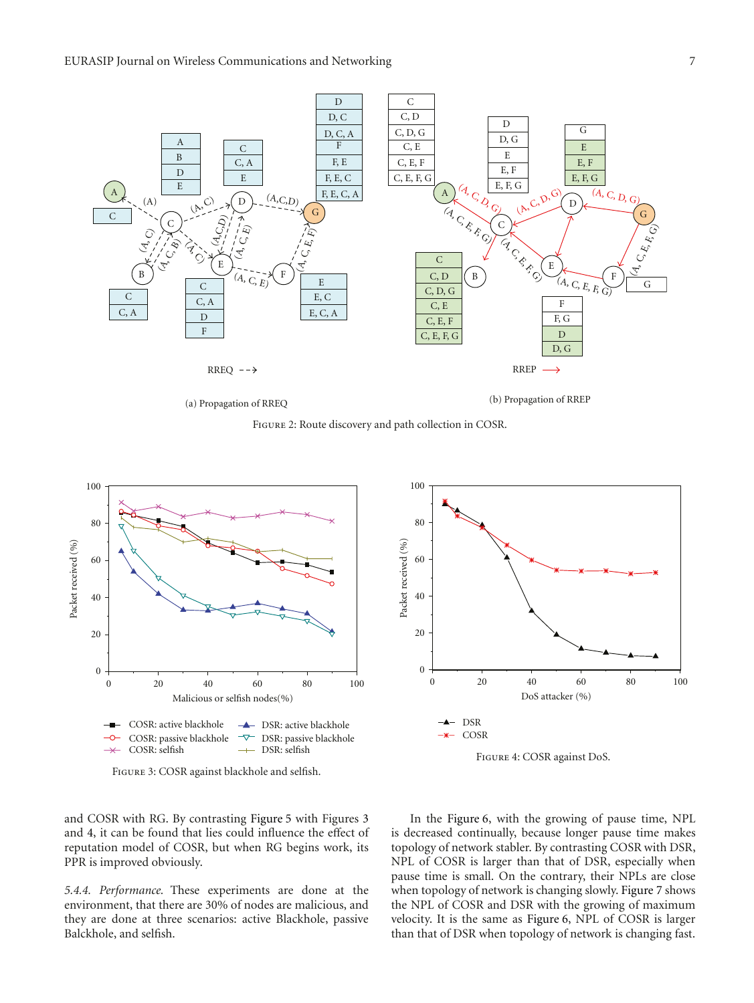

(a) Propagation of RREQ (b) Propagation of RREP

Figure 2: Route discovery and path collection in COSR.



Figure 3: COSR against blackhole and selfish.



Figure 4: COSR against DoS.

and COSR with RG. By contrasting Figure 5 with Figures 3 and 4, it can be found that lies could influence the effect of reputation model of COSR, but when RG begins work, its PPR is improved obviously.

*5.4.4. Performance.* These experiments are done at the environment, that there are 30% of nodes are malicious, and they are done at three scenarios: active Blackhole, passive Balckhole, and selfish.

In the Figure 6, with the growing of pause time, NPL is decreased continually, because longer pause time makes topology of network stabler. By contrasting COSR with DSR, NPL of COSR is larger than that of DSR, especially when pause time is small. On the contrary, their NPLs are close when topology of network is changing slowly. Figure 7 shows the NPL of COSR and DSR with the growing of maximum velocity. It is the same as Figure 6, NPL of COSR is larger than that of DSR when topology of network is changing fast.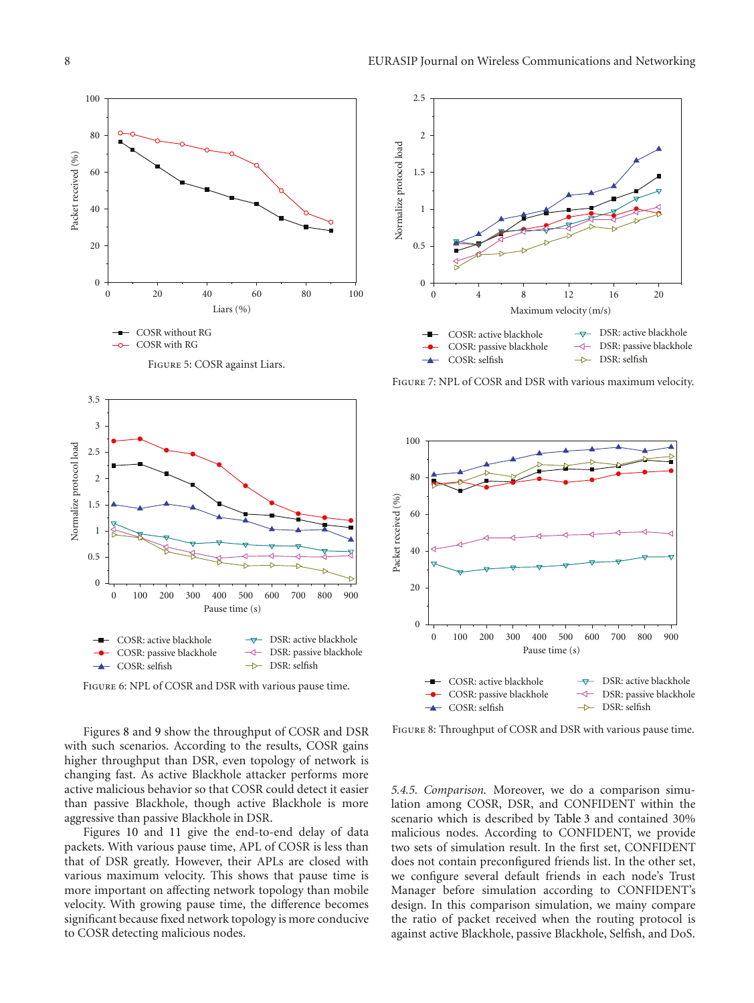

Figure 6: NPL of COSR and DSR with various pause time.

Figures 8 and 9 show the throughput of COSR and DSR with such scenarios. According to the results, COSR gains higher throughput than DSR, even topology of network is changing fast. As active Blackhole attacker performs more active malicious behavior so that COSR could detect it easier than passive Blackhole, though active Blackhole is more aggressive than passive Blackhole in DSR.

Figures 10 and 11 give the end-to-end delay of data packets. With various pause time, APL of COSR is less than that of DSR greatly. However, their APLs are closed with various maximum velocity. This shows that pause time is more important on affecting network topology than mobile velocity. With growing pause time, the difference becomes significant because fixed network topology is more conducive to COSR detecting malicious nodes.



Figure 7: NPL of COSR and DSR with various maximum velocity.



Figure 8: Throughput of COSR and DSR with various pause time.

*5.4.5. Comparison.* Moreover, we do a comparison simulation among COSR, DSR, and CONFIDENT within the scenario which is described by Table 3 and contained 30% malicious nodes. According to CONFIDENT, we provide two sets of simulation result. In the first set, CONFIDENT does not contain preconfigured friends list. In the other set, we configure several default friends in each node's Trust Manager before simulation according to CONFIDENT's design. In this comparison simulation, we mainy compare the ratio of packet received when the routing protocol is against active Blackhole, passive Blackhole, Selfish, and DoS.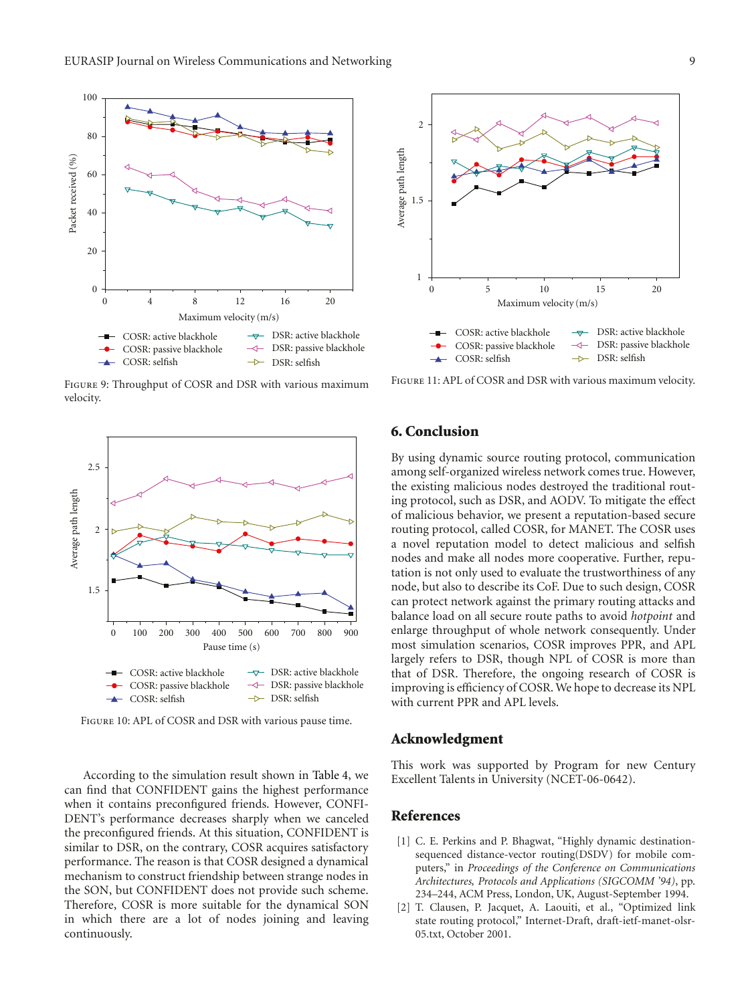

Figure 9: Throughput of COSR and DSR with various maximum velocity.



Figure 10: APL of COSR and DSR with various pause time.

According to the simulation result shown in Table 4, we can find that CONFIDENT gains the highest performance when it contains preconfigured friends. However, CONFI-DENT's performance decreases sharply when we canceled the preconfigured friends. At this situation, CONFIDENT is similar to DSR, on the contrary, COSR acquires satisfactory performance. The reason is that COSR designed a dynamical mechanism to construct friendship between strange nodes in the SON, but CONFIDENT does not provide such scheme. Therefore, COSR is more suitable for the dynamical SON in which there are a lot of nodes joining and leaving continuously.



Figure 11: APL of COSR and DSR with various maximum velocity.

#### **6. Conclusion**

By using dynamic source routing protocol, communication among self-organized wireless network comes true. However, the existing malicious nodes destroyed the traditional routing protocol, such as DSR, and AODV. To mitigate the effect of malicious behavior, we present a reputation-based secure routing protocol, called COSR, for MANET. The COSR uses a novel reputation model to detect malicious and selfish nodes and make all nodes more cooperative. Further, reputation is not only used to evaluate the trustworthiness of any node, but also to describe its CoF. Due to such design, COSR can protect network against the primary routing attacks and balance load on all secure route paths to avoid *hotpoint* and enlarge throughput of whole network consequently. Under most simulation scenarios, COSR improves PPR, and APL largely refers to DSR, though NPL of COSR is more than that of DSR. Therefore, the ongoing research of COSR is improving is efficiency of COSR. We hope to decrease its NPL with current PPR and APL levels.

#### **Acknowledgment**

This work was supported by Program for new Century Excellent Talents in University (NCET-06-0642).

#### **References**

- [1] C. E. Perkins and P. Bhagwat, "Highly dynamic destinationsequenced distance-vector routing(DSDV) for mobile computers," in *Proceedings of the Conference on Communications Architectures, Protocols and Applications (SIGCOMM '94)*, pp. 234–244, ACM Press, London, UK, August-September 1994.
- [2] T. Clausen, P. Jacquet, A. Laouiti, et al., "Optimized link state routing protocol," Internet-Draft, draft-ietf-manet-olsr-05.txt, October 2001.